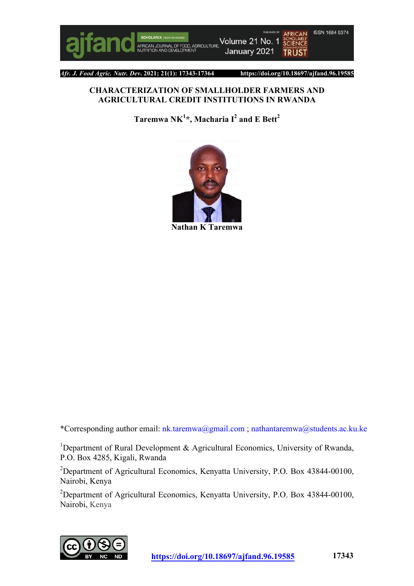

Volume 21 No. 1 **SCHOLARLY**<br>SCIENCE AFRICAN JOURNAL OF FOOD. AGRICULTURE. January 2021 **TRUST** 



**ISSN 1684 5374** 

#### **CHARACTERIZATION OF SMALLHOLDER FARMERS AND AGRICULTURAL CREDIT INSTITUTIONS IN RWANDA**

**Taremwa NK1 \*, Macharia I <sup>2</sup> and E Bett2**



**Nathan K Taremwa**

\*Corresponding author email: nk.taremwa@gmail.com ; nathantaremwa@students.ac.ku.ke

<sup>1</sup>Department of Rural Development & Agricultural Economics, University of Rwanda, P.O. Box 4285, Kigali, Rwanda

<sup>2</sup>Department of Agricultural Economics, Kenyatta University, P.O. Box 43844-00100, Nairobi, Kenya

<sup>2</sup>Department of Agricultural Economics, Kenyatta University, P.O. Box 43844-00100, Nairobi, Kenya

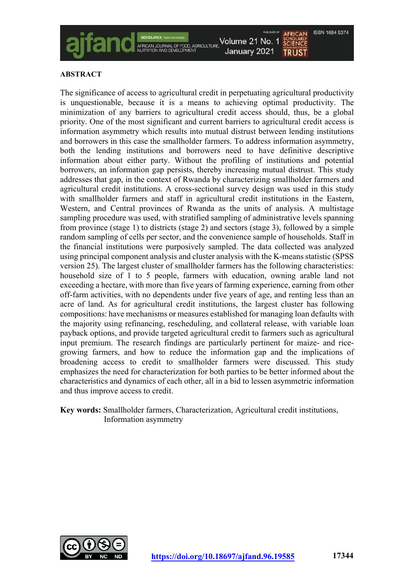

#### **ABSTRACT**

The significance of access to agricultural credit in perpetuating agricultural productivity is unquestionable, because it is a means to achieving optimal productivity. The minimization of any barriers to agricultural credit access should, thus, be a global priority. One of the most significant and current barriers to agricultural credit access is information asymmetry which results into mutual distrust between lending institutions and borrowers in this case the smallholder farmers. To address information asymmetry, both the lending institutions and borrowers need to have definitive descriptive information about either party. Without the profiling of institutions and potential borrowers, an information gap persists, thereby increasing mutual distrust. This study addresses that gap, in the context of Rwanda by characterizing smallholder farmers and agricultural credit institutions. A cross-sectional survey design was used in this study with smallholder farmers and staff in agricultural credit institutions in the Eastern, Western, and Central provinces of Rwanda as the units of analysis. A multistage sampling procedure was used, with stratified sampling of administrative levels spanning from province (stage 1) to districts (stage 2) and sectors (stage 3), followed by a simple random sampling of cells per sector, and the convenience sample of households. Staff in the financial institutions were purposively sampled. The data collected was analyzed using principal component analysis and cluster analysis with the K-means statistic (SPSS version 25). The largest cluster of smallholder farmers has the following characteristics: household size of 1 to 5 people, farmers with education, owning arable land not exceeding a hectare, with more than five years of farming experience, earning from other off-farm activities, with no dependents under five years of age, and renting less than an acre of land. As for agricultural credit institutions, the largest cluster has following compositions: have mechanisms or measures established for managing loan defaults with the majority using refinancing, rescheduling, and collateral release, with variable loan payback options, and provide targeted agricultural credit to farmers such as agricultural input premium. The research findings are particularly pertinent for maize- and ricegrowing farmers, and how to reduce the information gap and the implications of broadening access to credit to smallholder farmers were discussed. This study emphasizes the need for characterization for both parties to be better informed about the characteristics and dynamics of each other, all in a bid to lessen asymmetric information and thus improve access to credit.

**Key words:** Smallholder farmers, Characterization, Agricultural credit institutions, Information asymmetry

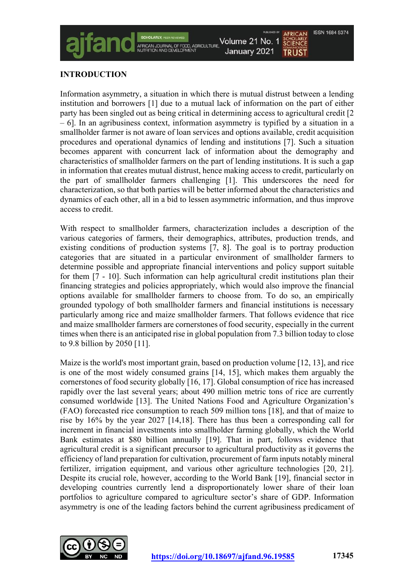

#### **INTRODUCTION**

Information asymmetry, a situation in which there is mutual distrust between a lending institution and borrowers [1] due to a mutual lack of information on the part of either party has been singled out as being critical in determining access to agricultural credit [2 – 6]. In an agribusiness context, information asymmetry is typified by a situation in a smallholder farmer is not aware of loan services and options available, credit acquisition procedures and operational dynamics of lending and institutions [7]. Such a situation becomes apparent with concurrent lack of information about the demography and characteristics of smallholder farmers on the part of lending institutions. It is such a gap in information that creates mutual distrust, hence making access to credit, particularly on the part of smallholder farmers challenging [1]. This underscores the need for characterization, so that both parties will be better informed about the characteristics and dynamics of each other, all in a bid to lessen asymmetric information, and thus improve access to credit.

With respect to smallholder farmers, characterization includes a description of the various categories of farmers, their demographics, attributes, production trends, and existing conditions of production systems [7, 8]. The goal is to portray production categories that are situated in a particular environment of smallholder farmers to determine possible and appropriate financial interventions and policy support suitable for them [7 - 10]. Such information can help agricultural credit institutions plan their financing strategies and policies appropriately, which would also improve the financial options available for smallholder farmers to choose from. To do so, an empirically grounded typology of both smallholder farmers and financial institutions is necessary particularly among rice and maize smallholder farmers. That follows evidence that rice and maize smallholder farmers are cornerstones of food security, especially in the current times when there is an anticipated rise in global population from 7.3 billion today to close to 9.8 billion by 2050 [11].

Maize is the world's most important grain, based on production volume [12, 13], and rice is one of the most widely consumed grains [14, 15], which makes them arguably the cornerstones of food security globally [16, 17]. Global consumption of rice has increased rapidly over the last several years; about 490 million metric tons of rice are currently consumed worldwide [13]. The United Nations Food and Agriculture Organization's (FAO) forecasted rice consumption to reach 509 million tons [18], and that of maize to rise by 16% by the year 2027 [14,18]. There has thus been a corresponding call for increment in financial investments into smallholder farming globally, which the World Bank estimates at \$80 billion annually [19]. That in part, follows evidence that agricultural credit is a significant precursor to agricultural productivity as it governs the efficiency of land preparation for cultivation, procurement of farm inputs notably mineral fertilizer, irrigation equipment, and various other agriculture technologies [20, 21]. Despite its crucial role, however, according to the World Bank [19], financial sector in developing countries currently lend a disproportionately lower share of their loan portfolios to agriculture compared to agriculture sector's share of GDP. Information asymmetry is one of the leading factors behind the current agribusiness predicament of

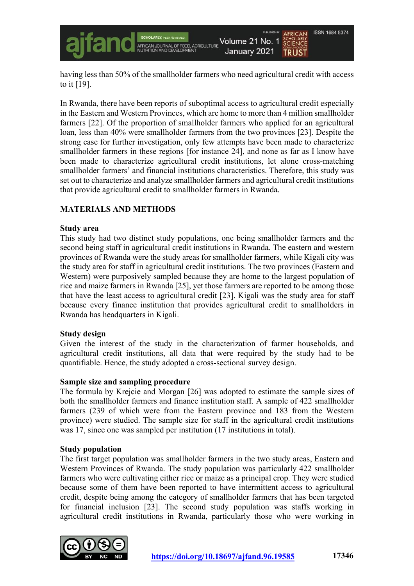

having less than 50% of the smallholder farmers who need agricultural credit with access to it [19].

In Rwanda, there have been reports of suboptimal access to agricultural credit especially in the Eastern and Western Provinces, which are home to more than 4 million smallholder farmers [22]. Of the proportion of smallholder farmers who applied for an agricultural loan, less than 40% were smallholder farmers from the two provinces [23]. Despite the strong case for further investigation, only few attempts have been made to characterize smallholder farmers in these regions [for instance 24], and none as far as I know have been made to characterize agricultural credit institutions, let alone cross-matching smallholder farmers' and financial institutions characteristics. Therefore, this study was set out to characterize and analyze smallholder farmers and agricultural credit institutions that provide agricultural credit to smallholder farmers in Rwanda.

## **MATERIALS AND METHODS**

#### **Study area**

This study had two distinct study populations, one being smallholder farmers and the second being staff in agricultural credit institutions in Rwanda. The eastern and western provinces of Rwanda were the study areas for smallholder farmers, while Kigali city was the study area for staff in agricultural credit institutions. The two provinces (Eastern and Western) were purposively sampled because they are home to the largest population of rice and maize farmers in Rwanda [25], yet those farmers are reported to be among those that have the least access to agricultural credit [23]. Kigali was the study area for staff because every finance institution that provides agricultural credit to smallholders in Rwanda has headquarters in Kigali.

#### **Study design**

Given the interest of the study in the characterization of farmer households, and agricultural credit institutions, all data that were required by the study had to be quantifiable. Hence, the study adopted a cross-sectional survey design.

#### **Sample size and sampling procedure**

The formula by Krejcie and Morgan [26] was adopted to estimate the sample sizes of both the smallholder farmers and finance institution staff. A sample of 422 smallholder farmers (239 of which were from the Eastern province and 183 from the Western province) were studied. The sample size for staff in the agricultural credit institutions was 17, since one was sampled per institution (17 institutions in total).

#### **Study population**

The first target population was smallholder farmers in the two study areas, Eastern and Western Provinces of Rwanda. The study population was particularly 422 smallholder farmers who were cultivating either rice or maize as a principal crop. They were studied because some of them have been reported to have intermittent access to agricultural credit, despite being among the category of smallholder farmers that has been targeted for financial inclusion [23]. The second study population was staffs working in agricultural credit institutions in Rwanda, particularly those who were working in

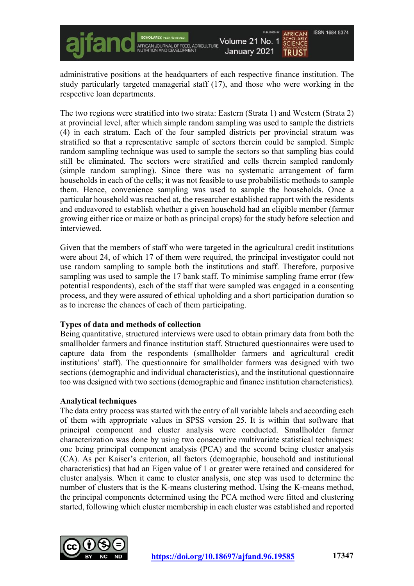administrative positions at the headquarters of each respective finance institution. The study particularly targeted managerial staff (17), and those who were working in the respective loan departments.

The two regions were stratified into two strata: Eastern (Strata 1) and Western (Strata 2) at provincial level, after which simple random sampling was used to sample the districts (4) in each stratum. Each of the four sampled districts per provincial stratum was stratified so that a representative sample of sectors therein could be sampled. Simple random sampling technique was used to sample the sectors so that sampling bias could still be eliminated. The sectors were stratified and cells therein sampled randomly (simple random sampling). Since there was no systematic arrangement of farm households in each of the cells; it was not feasible to use probabilistic methods to sample them. Hence, convenience sampling was used to sample the households. Once a particular household was reached at, the researcher established rapport with the residents and endeavored to establish whether a given household had an eligible member (farmer growing either rice or maize or both as principal crops) for the study before selection and interviewed.

Given that the members of staff who were targeted in the agricultural credit institutions were about 24, of which 17 of them were required, the principal investigator could not use random sampling to sample both the institutions and staff. Therefore, purposive sampling was used to sample the 17 bank staff. To minimise sampling frame error (few potential respondents), each of the staff that were sampled was engaged in a consenting process, and they were assured of ethical upholding and a short participation duration so as to increase the chances of each of them participating.

## **Types of data and methods of collection**

Being quantitative, structured interviews were used to obtain primary data from both the smallholder farmers and finance institution staff. Structured questionnaires were used to capture data from the respondents (smallholder farmers and agricultural credit institutions' staff). The questionnaire for smallholder farmers was designed with two sections (demographic and individual characteristics), and the institutional questionnaire too was designed with two sections (demographic and finance institution characteristics).

#### **Analytical techniques**

The data entry process was started with the entry of all variable labels and according each of them with appropriate values in SPSS version 25. It is within that software that principal component and cluster analysis were conducted. Smallholder farmer characterization was done by using two consecutive multivariate statistical techniques: one being principal component analysis (PCA) and the second being cluster analysis (CA). As per Kaiser's criterion, all factors (demographic, household and institutional characteristics) that had an Eigen value of 1 or greater were retained and considered for cluster analysis. When it came to cluster analysis, one step was used to determine the number of clusters that is the K-means clustering method. Using the K-means method, the principal components determined using the PCA method were fitted and clustering started, following which cluster membership in each cluster was established and reported

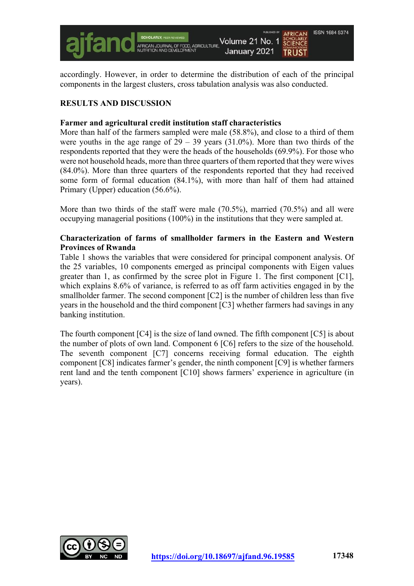

accordingly. However, in order to determine the distribution of each of the principal components in the largest clusters, cross tabulation analysis was also conducted.

## **RESULTS AND DISCUSSION**

#### **Farmer and agricultural credit institution staff characteristics**

More than half of the farmers sampled were male (58.8%), and close to a third of them were youths in the age range of  $29 - 39$  years  $(31.0\%)$ . More than two thirds of the respondents reported that they were the heads of the households (69.9%). For those who were not household heads, more than three quarters of them reported that they were wives (84.0%). More than three quarters of the respondents reported that they had received some form of formal education (84.1%), with more than half of them had attained Primary (Upper) education (56.6%).

More than two thirds of the staff were male (70.5%), married (70.5%) and all were occupying managerial positions (100%) in the institutions that they were sampled at.

#### **Characterization of farms of smallholder farmers in the Eastern and Western Provinces of Rwanda**

Table 1 shows the variables that were considered for principal component analysis. Of the 25 variables, 10 components emerged as principal components with Eigen values greater than 1, as confirmed by the scree plot in Figure 1. The first component [C1], which explains 8.6% of variance, is referred to as off farm activities engaged in by the smallholder farmer. The second component [C2] is the number of children less than five years in the household and the third component [C3] whether farmers had savings in any banking institution.

The fourth component [C4] is the size of land owned. The fifth component [C5] is about the number of plots of own land. Component 6 [C6] refers to the size of the household. The seventh component [C7] concerns receiving formal education. The eighth component [C8] indicates farmer's gender, the ninth component [C9] is whether farmers rent land and the tenth component [C10] shows farmers' experience in agriculture (in years).

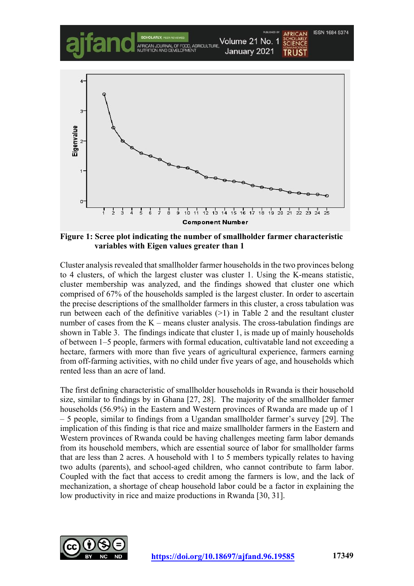

**Figure 1: Scree plot indicating the number of smallholder farmer characteristic variables with Eigen values greater than 1**

Cluster analysis revealed that smallholder farmer households in the two provinces belong to 4 clusters, of which the largest cluster was cluster 1. Using the K-means statistic, cluster membership was analyzed, and the findings showed that cluster one which comprised of 67% of the households sampled is the largest cluster. In order to ascertain the precise descriptions of the smallholder farmers in this cluster, a cross tabulation was run between each of the definitive variables  $(>1)$  in Table 2 and the resultant cluster number of cases from the K – means cluster analysis. The cross-tabulation findings are shown in Table 3. The findings indicate that cluster 1, is made up of mainly households of between 1–5 people, farmers with formal education, cultivatable land not exceeding a hectare, farmers with more than five years of agricultural experience, farmers earning from off-farming activities, with no child under five years of age, and households which rented less than an acre of land.

The first defining characteristic of smallholder households in Rwanda is their household size, similar to findings by in Ghana [27, 28]. The majority of the smallholder farmer households (56.9%) in the Eastern and Western provinces of Rwanda are made up of 1 – 5 people, similar to findings from a Ugandan smallholder farmer's survey [29]. The implication of this finding is that rice and maize smallholder farmers in the Eastern and Western provinces of Rwanda could be having challenges meeting farm labor demands from its household members, which are essential source of labor for smallholder farms that are less than 2 acres. A household with 1 to 5 members typically relates to having two adults (parents), and school-aged children, who cannot contribute to farm labor. Coupled with the fact that access to credit among the farmers is low, and the lack of mechanization, a shortage of cheap household labor could be a factor in explaining the low productivity in rice and maize productions in Rwanda [30, 31].

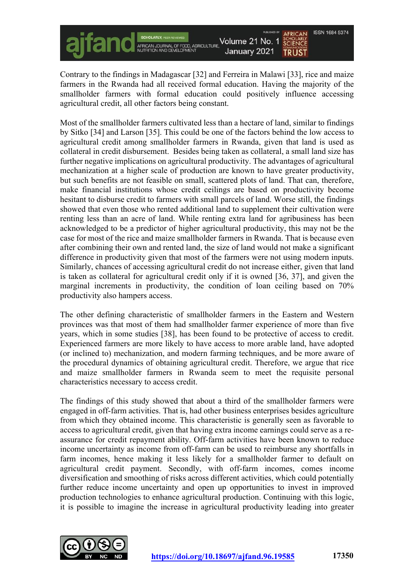

Contrary to the findings in Madagascar [32] and Ferreira in Malawi [33], rice and maize farmers in the Rwanda had all received formal education. Having the majority of the smallholder farmers with formal education could positively influence accessing agricultural credit, all other factors being constant.

Most of the smallholder farmers cultivated less than a hectare of land, similar to findings by Sitko [34] and Larson [35]. This could be one of the factors behind the low access to agricultural credit among smallholder farmers in Rwanda, given that land is used as collateral in credit disbursement. Besides being taken as collateral, a small land size has further negative implications on agricultural productivity. The advantages of agricultural mechanization at a higher scale of production are known to have greater productivity, but such benefits are not feasible on small, scattered plots of land. That can, therefore, make financial institutions whose credit ceilings are based on productivity become hesitant to disburse credit to farmers with small parcels of land. Worse still, the findings showed that even those who rented additional land to supplement their cultivation were renting less than an acre of land. While renting extra land for agribusiness has been acknowledged to be a predictor of higher agricultural productivity, this may not be the case for most of the rice and maize smallholder farmers in Rwanda. That is because even after combining their own and rented land, the size of land would not make a significant difference in productivity given that most of the farmers were not using modern inputs. Similarly, chances of accessing agricultural credit do not increase either, given that land is taken as collateral for agricultural credit only if it is owned [36, 37], and given the marginal increments in productivity, the condition of loan ceiling based on 70% productivity also hampers access.

The other defining characteristic of smallholder farmers in the Eastern and Western provinces was that most of them had smallholder farmer experience of more than five years, which in some studies [38], has been found to be protective of access to credit. Experienced farmers are more likely to have access to more arable land, have adopted (or inclined to) mechanization, and modern farming techniques, and be more aware of the procedural dynamics of obtaining agricultural credit. Therefore, we argue that rice and maize smallholder farmers in Rwanda seem to meet the requisite personal characteristics necessary to access credit.

The findings of this study showed that about a third of the smallholder farmers were engaged in off-farm activities. That is, had other business enterprises besides agriculture from which they obtained income. This characteristic is generally seen as favorable to access to agricultural credit, given that having extra income earnings could serve as a reassurance for credit repayment ability. Off-farm activities have been known to reduce income uncertainty as income from off-farm can be used to reimburse any shortfalls in farm incomes, hence making it less likely for a smallholder farmer to default on agricultural credit payment. Secondly, with off-farm incomes, comes income diversification and smoothing of risks across different activities, which could potentially further reduce income uncertainty and open up opportunities to invest in improved production technologies to enhance agricultural production. Continuing with this logic, it is possible to imagine the increase in agricultural productivity leading into greater

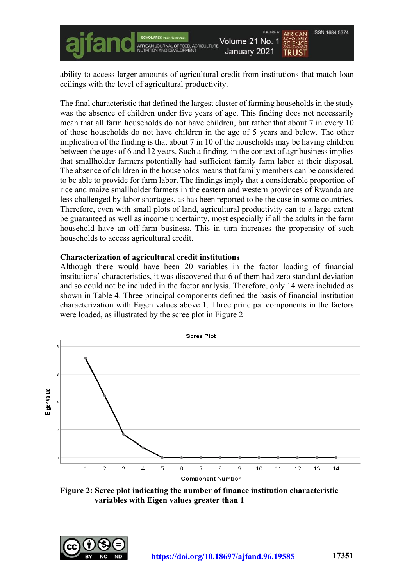

ability to access larger amounts of agricultural credit from institutions that match loan ceilings with the level of agricultural productivity.

The final characteristic that defined the largest cluster of farming households in the study was the absence of children under five years of age. This finding does not necessarily mean that all farm households do not have children, but rather that about 7 in every 10 of those households do not have children in the age of 5 years and below. The other implication of the finding is that about 7 in 10 of the households may be having children between the ages of 6 and 12 years. Such a finding, in the context of agribusiness implies that smallholder farmers potentially had sufficient family farm labor at their disposal. The absence of children in the households means that family members can be considered to be able to provide for farm labor. The findings imply that a considerable proportion of rice and maize smallholder farmers in the eastern and western provinces of Rwanda are less challenged by labor shortages, as has been reported to be the case in some countries. Therefore, even with small plots of land, agricultural productivity can to a large extent be guaranteed as well as income uncertainty, most especially if all the adults in the farm household have an off-farm business. This in turn increases the propensity of such households to access agricultural credit.

### **Characterization of agricultural credit institutions**

Although there would have been 20 variables in the factor loading of financial institutions' characteristics, it was discovered that 6 of them had zero standard deviation and so could not be included in the factor analysis. Therefore, only 14 were included as shown in Table 4. Three principal components defined the basis of financial institution characterization with Eigen values above 1. Three principal components in the factors were loaded, as illustrated by the scree plot in Figure 2



**Figure 2: Scree plot indicating the number of finance institution characteristic variables with Eigen values greater than 1**

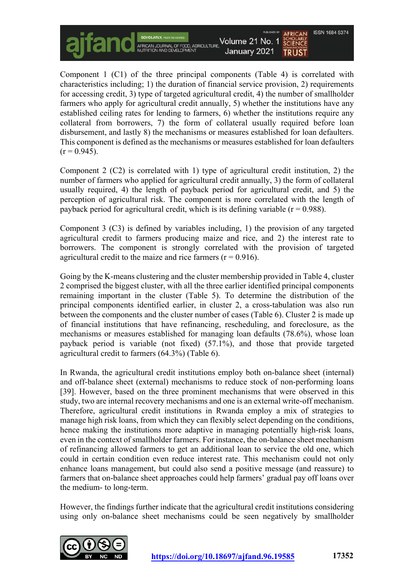Component 1 (C1) of the three principal components (Table 4) is correlated with characteristics including; 1) the duration of financial service provision, 2) requirements for accessing credit, 3) type of targeted agricultural credit, 4) the number of smallholder farmers who apply for agricultural credit annually, 5) whether the institutions have any established ceiling rates for lending to farmers, 6) whether the institutions require any collateral from borrowers, 7) the form of collateral usually required before loan disbursement, and lastly 8) the mechanisms or measures established for loan defaulters. This component is defined as the mechanisms or measures established for loan defaulters  $(r = 0.945)$ .

A<br>AFRICAN JOURNAL OF FOOD, AGRICULTURE,<br>NUTRITION AND DEVELOPMENT

Volume 21 No. 1

January 2021

**ISSN 1684 5374** 

**SCHOLARLY** 

**TRUST** 

Component 2 (C2) is correlated with 1) type of agricultural credit institution, 2) the number of farmers who applied for agricultural credit annually, 3) the form of collateral usually required, 4) the length of payback period for agricultural credit, and 5) the perception of agricultural risk. The component is more correlated with the length of payback period for agricultural credit, which is its defining variable  $(r = 0.988)$ .

Component 3 (C3) is defined by variables including, 1) the provision of any targeted agricultural credit to farmers producing maize and rice, and 2) the interest rate to borrowers. The component is strongly correlated with the provision of targeted agricultural credit to the maize and rice farmers  $(r = 0.916)$ .

Going by the K-means clustering and the cluster membership provided in Table 4, cluster 2 comprised the biggest cluster, with all the three earlier identified principal components remaining important in the cluster (Table 5). To determine the distribution of the principal components identified earlier, in cluster 2, a cross-tabulation was also run between the components and the cluster number of cases (Table 6). Cluster 2 is made up of financial institutions that have refinancing, rescheduling, and foreclosure, as the mechanisms or measures established for managing loan defaults (78.6%), whose loan payback period is variable (not fixed) (57.1%), and those that provide targeted agricultural credit to farmers (64.3%) (Table 6).

In Rwanda, the agricultural credit institutions employ both on-balance sheet (internal) and off-balance sheet (external) mechanisms to reduce stock of non-performing loans [39]. However, based on the three prominent mechanisms that were observed in this study, two are internal recovery mechanisms and one is an external write-off mechanism. Therefore, agricultural credit institutions in Rwanda employ a mix of strategies to manage high risk loans, from which they can flexibly select depending on the conditions, hence making the institutions more adaptive in managing potentially high-risk loans, even in the context of smallholder farmers. For instance, the on-balance sheet mechanism of refinancing allowed farmers to get an additional loan to service the old one, which could in certain condition even reduce interest rate. This mechanism could not only enhance loans management, but could also send a positive message (and reassure) to farmers that on-balance sheet approaches could help farmers' gradual pay off loans over the medium- to long-term.

However, the findings further indicate that the agricultural credit institutions considering using only on-balance sheet mechanisms could be seen negatively by smallholder

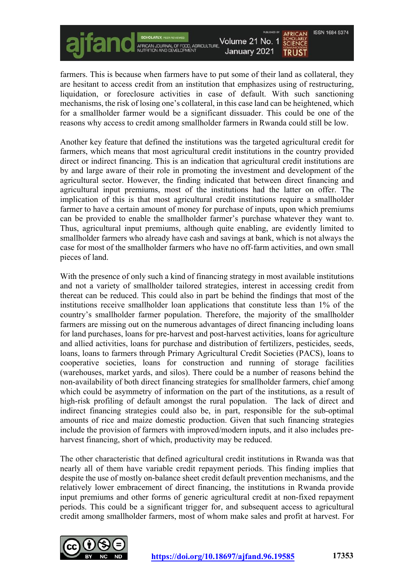

farmers. This is because when farmers have to put some of their land as collateral, they are hesitant to access credit from an institution that emphasizes using of restructuring, liquidation, or foreclosure activities in case of default. With such sanctioning mechanisms, the risk of losing one's collateral, in this case land can be heightened, which for a smallholder farmer would be a significant dissuader. This could be one of the reasons why access to credit among smallholder farmers in Rwanda could still be low.

Another key feature that defined the institutions was the targeted agricultural credit for farmers, which means that most agricultural credit institutions in the country provided direct or indirect financing. This is an indication that agricultural credit institutions are by and large aware of their role in promoting the investment and development of the agricultural sector. However, the finding indicated that between direct financing and agricultural input premiums, most of the institutions had the latter on offer. The implication of this is that most agricultural credit institutions require a smallholder farmer to have a certain amount of money for purchase of inputs, upon which premiums can be provided to enable the smallholder farmer's purchase whatever they want to. Thus, agricultural input premiums, although quite enabling, are evidently limited to smallholder farmers who already have cash and savings at bank, which is not always the case for most of the smallholder farmers who have no off-farm activities, and own small pieces of land.

With the presence of only such a kind of financing strategy in most available institutions and not a variety of smallholder tailored strategies, interest in accessing credit from thereat can be reduced. This could also in part be behind the findings that most of the institutions receive smallholder loan applications that constitute less than 1% of the country's smallholder farmer population. Therefore, the majority of the smallholder farmers are missing out on the numerous advantages of direct financing including loans for land purchases, loans for pre-harvest and post-harvest activities, loans for agriculture and allied activities, loans for purchase and distribution of fertilizers, pesticides, seeds, loans, loans to farmers through Primary Agricultural Credit Societies (PACS), loans to cooperative societies, loans for construction and running of storage facilities (warehouses, market yards, and silos). There could be a number of reasons behind the non-availability of both direct financing strategies for smallholder farmers, chief among which could be asymmetry of information on the part of the institutions, as a result of high-risk profiling of default amongst the rural population. The lack of direct and indirect financing strategies could also be, in part, responsible for the sub-optimal amounts of rice and maize domestic production. Given that such financing strategies include the provision of farmers with improved/modern inputs, and it also includes preharvest financing, short of which, productivity may be reduced.

The other characteristic that defined agricultural credit institutions in Rwanda was that nearly all of them have variable credit repayment periods. This finding implies that despite the use of mostly on-balance sheet credit default prevention mechanisms, and the relatively lower embracement of direct financing, the institutions in Rwanda provide input premiums and other forms of generic agricultural credit at non-fixed repayment periods. This could be a significant trigger for, and subsequent access to agricultural credit among smallholder farmers, most of whom make sales and profit at harvest. For

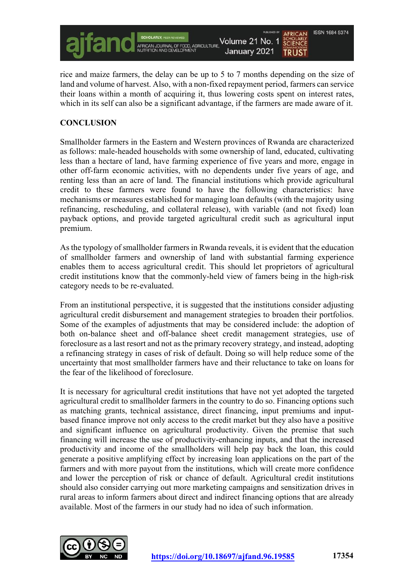

rice and maize farmers, the delay can be up to 5 to 7 months depending on the size of land and volume of harvest. Also, with a non-fixed repayment period, farmers can service their loans within a month of acquiring it, thus lowering costs spent on interest rates, which in its self can also be a significant advantage, if the farmers are made aware of it.

## **CONCLUSION**

Smallholder farmers in the Eastern and Western provinces of Rwanda are characterized as follows: male-headed households with some ownership of land, educated, cultivating less than a hectare of land, have farming experience of five years and more, engage in other off-farm economic activities, with no dependents under five years of age, and renting less than an acre of land. The financial institutions which provide agricultural credit to these farmers were found to have the following characteristics: have mechanisms or measures established for managing loan defaults (with the majority using refinancing, rescheduling, and collateral release), with variable (and not fixed) loan payback options, and provide targeted agricultural credit such as agricultural input premium.

As the typology of smallholder farmers in Rwanda reveals, it is evident that the education of smallholder farmers and ownership of land with substantial farming experience enables them to access agricultural credit. This should let proprietors of agricultural credit institutions know that the commonly-held view of famers being in the high-risk category needs to be re-evaluated.

From an institutional perspective, it is suggested that the institutions consider adjusting agricultural credit disbursement and management strategies to broaden their portfolios. Some of the examples of adjustments that may be considered include: the adoption of both on-balance sheet and off-balance sheet credit management strategies, use of foreclosure as a last resort and not as the primary recovery strategy, and instead, adopting a refinancing strategy in cases of risk of default. Doing so will help reduce some of the uncertainty that most smallholder farmers have and their reluctance to take on loans for the fear of the likelihood of foreclosure.

It is necessary for agricultural credit institutions that have not yet adopted the targeted agricultural credit to smallholder farmers in the country to do so. Financing options such as matching grants, technical assistance, direct financing, input premiums and inputbased finance improve not only access to the credit market but they also have a positive and significant influence on agricultural productivity. Given the premise that such financing will increase the use of productivity-enhancing inputs, and that the increased productivity and income of the smallholders will help pay back the loan, this could generate a positive amplifying effect by increasing loan applications on the part of the farmers and with more payout from the institutions, which will create more confidence and lower the perception of risk or chance of default. Agricultural credit institutions should also consider carrying out more marketing campaigns and sensitization drives in rural areas to inform farmers about direct and indirect financing options that are already available. Most of the farmers in our study had no idea of such information.

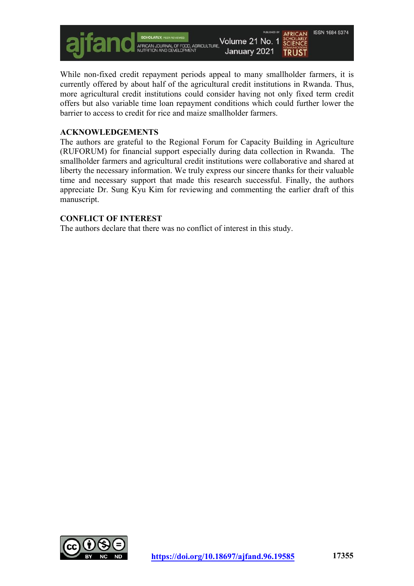

While non-fixed credit repayment periods appeal to many smallholder farmers, it is currently offered by about half of the agricultural credit institutions in Rwanda. Thus, more agricultural credit institutions could consider having not only fixed term credit offers but also variable time loan repayment conditions which could further lower the barrier to access to credit for rice and maize smallholder farmers.

#### **ACKNOWLEDGEMENTS**

The authors are grateful to the Regional Forum for Capacity Building in Agriculture (RUFORUM) for financial support especially during data collection in Rwanda. The smallholder farmers and agricultural credit institutions were collaborative and shared at liberty the necessary information. We truly express our sincere thanks for their valuable time and necessary support that made this research successful. Finally, the authors appreciate Dr. Sung Kyu Kim for reviewing and commenting the earlier draft of this manuscript.

## **CONFLICT OF INTEREST**

The authors declare that there was no conflict of interest in this study.

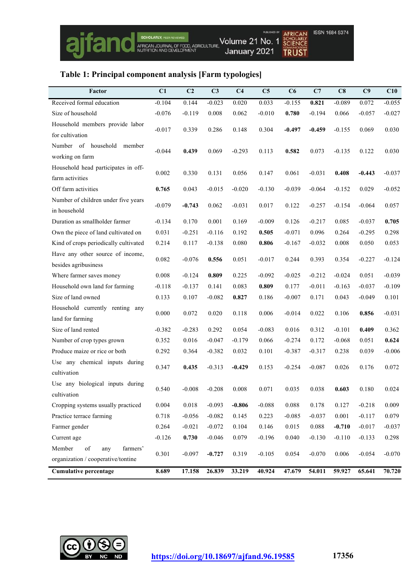SCHOLARLY, PER REVIEWED AGRICULTURE VOLUME 21 No. 1 SCHOLARLY AFRICAN AGRICULTURE VOLUME 21 No. 1 SCHOLARLY

ISSN 1684 5374

# **Table 1: Principal component analysis [Farm typologies]**

| Factor                                | C1       | C <sub>2</sub> | C <sub>3</sub> | C <sub>4</sub> | C <sub>5</sub> | C6       | C7       | C8       | C9       | C10      |
|---------------------------------------|----------|----------------|----------------|----------------|----------------|----------|----------|----------|----------|----------|
| Received formal education             | $-0.104$ | 0.144          | $-0.023$       | 0.020          | 0.033          | $-0.155$ | 0.821    | $-0.089$ | 0.072    | $-0.055$ |
| Size of household                     | $-0.076$ | $-0.119$       | 0.008          | 0.062          | $-0.010$       | 0.780    | $-0.194$ | 0.066    | $-0.057$ | $-0.027$ |
| Household members provide labor       |          |                |                |                |                |          |          |          | 0.069    |          |
| for cultivation                       | $-0.017$ | 0.339          | 0.286          | 0.148          | 0.304          | $-0.497$ | $-0.459$ | $-0.155$ |          | 0.030    |
| Number of household<br>member         |          |                |                |                |                |          |          |          |          |          |
| working on farm                       | $-0.044$ | 0.439          | 0.069          | $-0.293$       | 0.113          | 0.582    | 0.073    | $-0.135$ | 0.122    | 0.030    |
| Household head participates in off-   |          |                |                |                |                |          |          |          |          |          |
| farm activities                       | 0.002    | 0.330          | 0.131          | 0.056          | 0.147          | 0.061    | $-0.031$ | 0.408    | $-0.443$ | $-0.037$ |
| Off farm activities                   | 0.765    | 0.043          | $-0.015$       | $-0.020$       | $-0.130$       | $-0.039$ | $-0.064$ | $-0.152$ | 0.029    | $-0.052$ |
| Number of children under five years   | $-0.079$ | $-0.743$       | 0.062          |                | 0.017          | 0.122    |          |          | $-0.064$ | 0.057    |
| in household                          |          |                |                | $-0.031$       |                |          | $-0.257$ | $-0.154$ |          |          |
| Duration as smallholder farmer        | $-0.134$ | 0.170          | 0.001          | 0.169          | $-0.009$       | 0.126    | $-0.217$ | 0.085    | $-0.037$ | 0.705    |
| Own the piece of land cultivated on   | 0.031    | $-0.251$       | $-0.116$       | 0.192          | 0.505          | $-0.071$ | 0.096    | 0.264    | $-0.295$ | 0.298    |
| Kind of crops periodically cultivated | 0.214    | 0.117          | $-0.138$       | 0.080          | 0.806          | $-0.167$ | $-0.032$ | 0.008    | 0.050    | 0.053    |
| Have any other source of income,      | 0.082    | $-0.076$       | 0.556          | 0.051          | $-0.017$       | 0.244    | 0.393    | 0.354    | $-0.227$ | $-0.124$ |
| besides agribusiness                  |          |                |                |                |                |          |          |          |          |          |
| Where farmer saves money              | 0.008    | $-0.124$       | 0.809          | 0.225          | $-0.092$       | $-0.025$ | $-0.212$ | $-0.024$ | 0.051    | $-0.039$ |
| Household own land for farming        | $-0.118$ | $-0.137$       | 0.141          | 0.083          | 0.809          | 0.177    | $-0.011$ | $-0.163$ | $-0.037$ | $-0.109$ |
| Size of land owned                    | 0.133    | 0.107          | $-0.082$       | 0.827          | 0.186          | $-0.007$ | 0.171    | 0.043    | $-0.049$ | 0.101    |
| Household currently renting any       |          | 0.072<br>0.000 | 0.020          | 0.118          | 0.006          | $-0.014$ | 0.022    | 0.106    | 0.856    | $-0.031$ |
| land for farming                      |          |                |                |                |                |          |          |          |          |          |
| Size of land rented                   | $-0.382$ | $-0.283$       | 0.292          | 0.054          | $-0.083$       | 0.016    | 0.312    | $-0.101$ | 0.409    | 0.362    |
| Number of crop types grown            | 0.352    | 0.016          | $-0.047$       | $-0.179$       | 0.066          | $-0.274$ | 0.172    | $-0.068$ | 0.051    | 0.624    |
| Produce maize or rice or both         | 0.292    | 0.364          | $-0.382$       | 0.032          | 0.101          | $-0.387$ | $-0.317$ | 0.238    | 0.039    | $-0.006$ |
| Use any chemical inputs during        | 0.347    | 0.435          | $-0.313$       | $-0.429$       | 0.153          | $-0.254$ | $-0.087$ | 0.026    | 0.176    | 0.072    |
| cultivation                           |          |                |                |                |                |          |          |          |          |          |
| Use any biological inputs during      | 0.540    | $-0.008$       | $-0.208$       | 0.008          | 0.071          | 0.035    | 0.038    | 0.603    | 0.180    | 0.024    |
| cultivation                           |          |                |                |                |                |          |          |          |          |          |
| Cropping systems usually practiced    | 0.004    | 0.018          | $-0.093$       | $-0.806$       | $-0.088$       | 0.088    | 0.178    | 0.127    | $-0.218$ | 0.009    |
| Practice terrace farming              | 0.718    | $-0.056$       | $-0.082$       | 0.145          | 0.223          | $-0.085$ | $-0.037$ | 0.001    | $-0.117$ | 0.079    |
| Farmer gender                         | 0.264    | $-0.021$       | $-0.072$       | 0.104          | 0.146          | 0.015    | 0.088    | $-0.710$ | $-0.017$ | $-0.037$ |
| Current age                           | $-0.126$ | 0.730          | $-0.046$       | 0.079          | $-0.196$       | 0.040    | $-0.130$ | $-0.110$ | $-0.133$ | 0.298    |
| of<br>Member<br>farmers'<br>any       | 0.301    | $-0.097$       | $-0.727$       | 0.319          | $-0.105$       | 0.054    | $-0.070$ | 0.006    | $-0.054$ | $-0.070$ |
| organization / cooperative/tontine    |          |                |                |                |                |          |          |          |          |          |
| <b>Cumulative percentage</b>          | 8.689    | 17.158         | 26.839         | 33.219         | 40.924         | 47.679   | 54.011   | 59.927   | 65.641   | 70.720   |

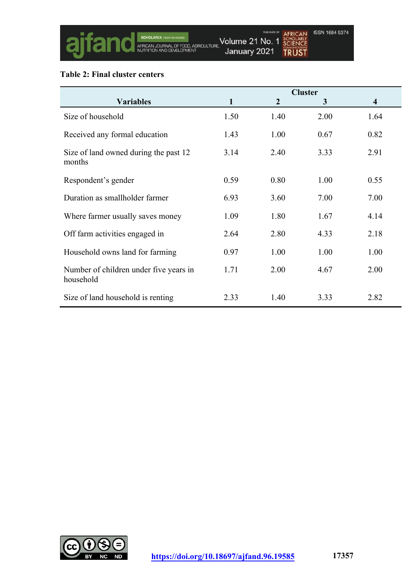

## **Table 2: Final cluster centers**

|                                                     | <b>Cluster</b> |                |      |                         |  |
|-----------------------------------------------------|----------------|----------------|------|-------------------------|--|
| <b>Variables</b>                                    | 1              | $\overline{2}$ | 3    | $\overline{\mathbf{4}}$ |  |
| Size of household                                   | 1.50           | 1.40           | 2.00 | 1.64                    |  |
| Received any formal education                       | 1.43           | 1.00           | 0.67 | 0.82                    |  |
| Size of land owned during the past 12<br>months     | 3.14           | 2.40           | 3.33 | 2.91                    |  |
| Respondent's gender                                 | 0.59           | 0.80           | 1.00 | 0.55                    |  |
| Duration as smallholder farmer                      | 6.93           | 3.60           | 7.00 | 7.00                    |  |
| Where farmer usually saves money                    | 1.09           | 1.80           | 1.67 | 4.14                    |  |
| Off farm activities engaged in                      | 2.64           | 2.80           | 4.33 | 2.18                    |  |
| Household owns land for farming                     | 0.97           | 1.00           | 1.00 | 1.00                    |  |
| Number of children under five years in<br>household | 1.71           | 2.00           | 4.67 | 2.00                    |  |
| Size of land household is renting                   | 2.33           | 1.40           | 3.33 | 2.82                    |  |

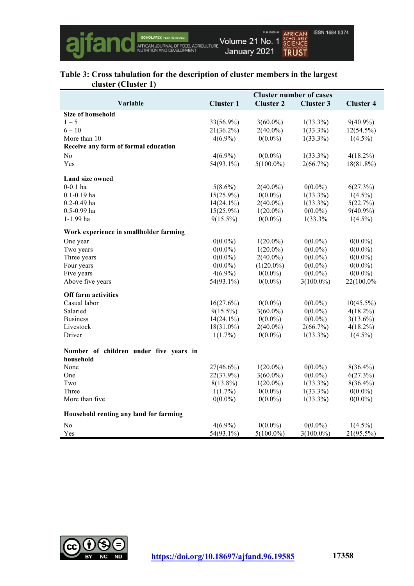

## **Table 3: Cross tabulation for the description of cluster members in the largest cluster (Cluster 1)**

|                                                     | <b>Cluster number of cases</b> |                  |                  |                  |  |
|-----------------------------------------------------|--------------------------------|------------------|------------------|------------------|--|
| Variable                                            | <b>Cluster 1</b>               | <b>Cluster 2</b> | <b>Cluster 3</b> | <b>Cluster 4</b> |  |
| <b>Size of household</b>                            |                                |                  |                  |                  |  |
| $1 - 5$                                             | 33(56.9%)                      | $3(60.0\%)$      | $1(33.3\%)$      | $9(40.9\%)$      |  |
| $6 - 10$                                            | $21(36.2\%)$                   | $2(40.0\%)$      | $1(33.3\%)$      | 12(54.5%)        |  |
| More than 10                                        | $4(6.9\%)$                     | $0(0.0\%)$       | $1(33.3\%)$      | $1(4.5\%)$       |  |
| Receive any form of formal education                |                                |                  |                  |                  |  |
| No                                                  | $4(6.9\%)$                     | $0(0.0\%)$       | $1(33.3\%)$      | $4(18.2\%)$      |  |
| Yes                                                 | 54(93.1%)                      | $5(100.0\%)$     | 2(66.7%)         | $18(81.8\%)$     |  |
|                                                     |                                |                  |                  |                  |  |
| <b>Land size owned</b>                              |                                |                  |                  |                  |  |
| $0 - 0.1$ ha                                        | $5(8.6\%)$                     | $2(40.0\%)$      | $0(0.0\%)$       | 6(27.3%)         |  |
| $0.1 - 0.19$ ha                                     | $15(25.9\%)$                   | $0(0.0\%)$       | $1(33.3\%)$      | $1(4.5\%)$       |  |
| $0.2 - 0.49$ ha                                     | $14(24.1\%)$                   | $2(40.0\%)$      | $1(33.3\%)$      | 5(22.7%)         |  |
| $0.5 - 0.99$ ha                                     | $15(25.9\%)$                   | $1(20.0\%)$      | $0(0.0\%)$       | $9(40.9\%)$      |  |
| 1-1.99 ha                                           | $9(15.5\%)$                    | $0(0.0\%)$       | 1(33.3%          | $1(4.5\%)$       |  |
| Work experience in smallholder farming              |                                |                  |                  |                  |  |
| One year                                            | $0(0.0\%)$                     | $1(20.0\%)$      | $0(0.0\%)$       | $0(0.0\%)$       |  |
| Two years                                           | $0(0.0\%)$                     | $1(20.0\%)$      | $0(0.0\%)$       | $0(0.0\%)$       |  |
| Three years                                         | $0(0.0\%)$                     | $2(40.0\%)$      | $0(0.0\%)$       | $0(0.0\%)$       |  |
| Four years                                          | $0(0.0\%)$                     | $(1(20.0\%)$     | $0(0.0\%)$       | $0(0.0\%)$       |  |
| Five years                                          | $4(6.9\%)$                     | $0(0.0\%)$       | $0(0.0\%)$       | $0(0.0\%)$       |  |
| Above five years                                    | 54(93.1%)                      | $0(0.0\%)$       | $3(100.0\%)$     | 22(100.0%)       |  |
| Off farm activities                                 |                                |                  |                  |                  |  |
| Casual labor                                        | 16(27.6%)                      | $0(0.0\%)$       | $0(0.0\%)$       | $10(45.5\%)$     |  |
| Salaried                                            | $9(15.5\%)$                    | $3(60.0\%)$      | $0(0.0\%)$       | $4(18.2\%)$      |  |
| <b>Business</b>                                     | $14(24.1\%)$                   | $0(0.0\%)$       | $0(0.0\%)$       | $3(13.6\%)$      |  |
| Livestock                                           | $18(31.0\%)$                   | $2(40.0\%)$      | $2(66.7\%)$      | $4(18.2\%)$      |  |
| Driver                                              | $1(1.7\%)$                     | $0(0.0\%)$       | $1(33.3\%)$      | $1(4.5\%)$       |  |
| Number of children under five years in<br>household |                                |                  |                  |                  |  |
| None                                                | $27(46.6\%)$                   | $1(20.0\%)$      | $0(0.0\%)$       | $8(36.4\%)$      |  |
| One                                                 | 22(37.9%)                      | $3(60.0\%)$      | $0(0.0\%)$       | 6(27.3%)         |  |
| Two                                                 | $8(13.8\%)$                    | $1(20.0\%)$      | $1(33.3\%)$      | $8(36.4\%)$      |  |
| Three                                               | $1(1.7\%)$                     | $0(0.0\%)$       | $1(33.3\%)$      | $0(0.0\%)$       |  |
| More than five                                      | $0(0.0\%)$                     | $0(0.0\%)$       | $1(33.3\%)$      | $0(0.0\%)$       |  |
|                                                     |                                |                  |                  |                  |  |
| Household renting any land for farming              |                                |                  |                  |                  |  |
| No                                                  | $4(6.9\%)$                     | $0(0.0\%)$       | $0(0.0\%)$       | $1(4.5\%)$       |  |
| Yes                                                 | 54(93.1%)                      | $5(100.0\%)$     | $3(100.0\%)$     | 21(95.5%)        |  |

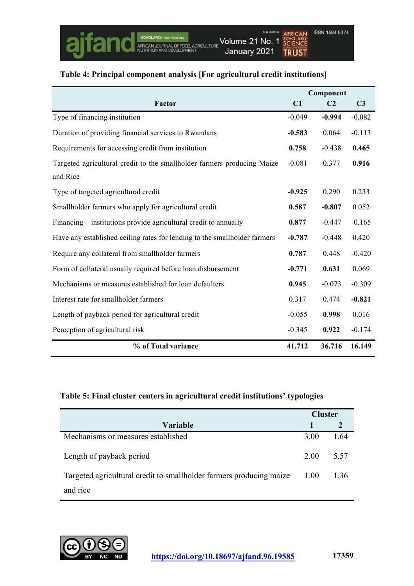## **Table 4: Principal component analysis [For agricultural credit institutions]**

|                                                                           | Component |                |                |
|---------------------------------------------------------------------------|-----------|----------------|----------------|
| Factor                                                                    | C1        | C <sub>2</sub> | C <sub>3</sub> |
| Type of financing institution                                             | $-0.049$  | $-0.994$       | $-0.082$       |
| Duration of providing financial services to Rwandans                      | $-0.583$  | 0.064          | $-0.113$       |
| Requirements for accessing credit from institution                        | 0.758     | $-0.438$       | 0.465          |
| Targeted agricultural credit to the smallholder farmers producing Maize   | $-0.081$  | 0.377          | 0.916          |
| and Rice                                                                  |           |                |                |
| Type of targeted agricultural credit                                      | $-0.925$  | 0.290          | 0.233          |
| Smallholder farmers who apply for agricultural credit                     | 0.587     | $-0.807$       | 0.052          |
| Financing<br>institutions provide agricultural credit to annually         | 0.877     | $-0.447$       | $-0.165$       |
| Have any established ceiling rates for lending to the smallholder farmers | $-0.787$  | $-0.448$       | 0.420          |
| Require any collateral from smallholder farmers                           | 0.787     | 0.448          | $-0.420$       |
| Form of collateral usually required before loan disbursement              | $-0.771$  | 0.631          | 0.069          |
| Mechanisms or measures established for loan defaulters                    | 0.945     | $-0.073$       | $-0.309$       |
| Interest rate for smallholder farmers                                     | 0.317     | 0.474          | $-0.821$       |
| Length of payback period for agricultural credit                          | $-0.055$  | 0.998          | 0.016          |
| Perception of agricultural risk                                           | $-0.345$  | 0.922          | $-0.174$       |
| % of Total variance                                                       | 41.712    | 36.716         | 16.149         |

| Table 5: Final cluster centers in agricultural credit institutions' typologies |  |
|--------------------------------------------------------------------------------|--|
|--------------------------------------------------------------------------------|--|

| <b>Cluster</b> |      |
|----------------|------|
|                |      |
| 3.00           | 1 64 |
| 2.00           | 5.57 |
| 1.00           | 1.36 |
|                |      |

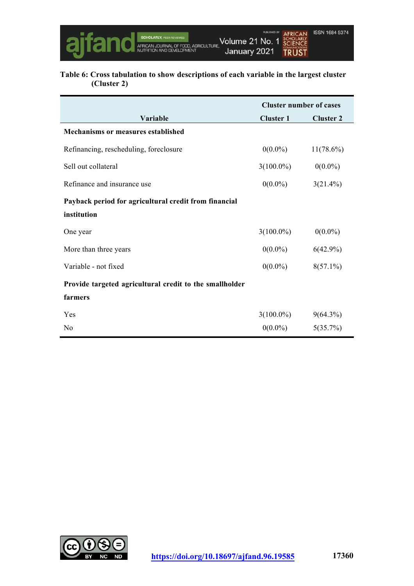

#### **Table 6: Cross tabulation to show descriptions of each variable in the largest cluster (Cluster 2)**

|                                                         | <b>Cluster number of cases</b> |                  |  |  |
|---------------------------------------------------------|--------------------------------|------------------|--|--|
| Variable                                                | <b>Cluster 1</b>               | <b>Cluster 2</b> |  |  |
| Mechanisms or measures established                      |                                |                  |  |  |
| Refinancing, rescheduling, foreclosure                  | $0(0.0\%)$                     | $11(78.6\%)$     |  |  |
| Sell out collateral                                     | $3(100.0\%)$                   | $0(0.0\%)$       |  |  |
| Refinance and insurance use                             | $0(0.0\%)$                     | $3(21.4\%)$      |  |  |
| Payback period for agricultural credit from financial   |                                |                  |  |  |
| institution                                             |                                |                  |  |  |
| One year                                                | $3(100.0\%)$                   | $0(0.0\%)$       |  |  |
| More than three years                                   | $0(0.0\%)$                     | $6(42.9\%)$      |  |  |
| Variable - not fixed                                    | $0(0.0\%)$                     | $8(57.1\%)$      |  |  |
| Provide targeted agricultural credit to the smallholder |                                |                  |  |  |
| farmers                                                 |                                |                  |  |  |
| Yes                                                     | $3(100.0\%)$                   | $9(64.3\%)$      |  |  |
| No                                                      | $0(0.0\%)$                     | 5(35.7%)         |  |  |

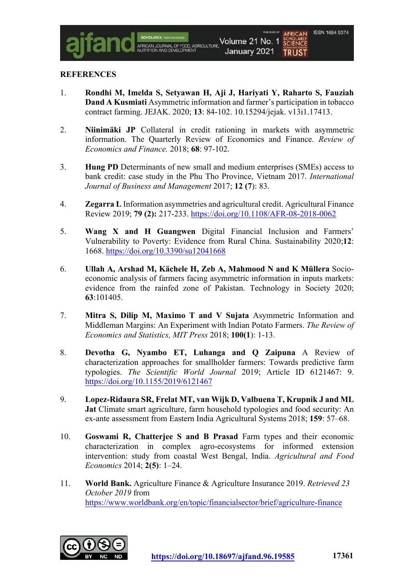#### **REFERENCES**

- 1. **Rondhi M, Imelda S, Setyawan H, Aji J, Hariyati Y, Raharto S, Fauziah Dand A Kusmiati** Asymmetric information and farmer's participation in tobacco contract farming. JEJAK. 2020; **13**: 84-102. 10.15294/jejak. v13i1.17413.
- 2. **Niinimäki JP** Collateral in credit rationing in markets with asymmetric information. The Quarterly Review of Economics and Finance. *Review of Economics and Finance.* 2018; **68**: 97-102.
- 3. **Hung PD** Determinants of new small and medium enterprises (SMEs) access to bank credit: case study in the Phu Tho Province, Vietnam 2017. *International Journal of Business and Management* 2017; **12 (7**): 83.
- 4. **Zegarra L** Information asymmetries and agricultural credit. Agricultural Finance Review 2019; **79 (2):** 217-233. https://doi.org/10.1108/AFR-08-2018-0062
- 5. **Wang X and H Guangwen** Digital Financial Inclusion and Farmers' Vulnerability to Poverty: Evidence from Rural China. Sustainability 2020;**12**: 1668. https://doi.org/10.3390/su12041668
- 6. **Ullah A, Arshad M, Kächele H, Zeb A, Mahmood N and K Müllera** Socioeconomic analysis of farmers facing asymmetric information in inputs markets: evidence from the rainfed zone of Pakistan. Technology in Society 2020; **63**:101405.
- 7. **Mitra S, Dilip M, Maximo T and V Sujata** Asymmetric Information and Middleman Margins: An Experiment with Indian Potato Farmers. *The Review of Economics and Statistics, MIT Press* 2018; **100(1**): 1-13.
- 8. **Devotha G, Nyambo ET, Luhanga and Q Zaipuna** A Review of characterization approaches for smallholder farmers: Towards predictive farm typologies. *The Scientific World Journal* 2019; Article ID 6121467: 9. https://doi.org/10.1155/2019/6121467
- 9. **Lopez-Ridaura SR, Frelat MT, van Wijk D, Valbuena T, Krupnik J and ML Jat** Climate smart agriculture, farm household typologies and food security: An ex-ante assessment from Eastern India Agricultural Systems 2018; **159**: 57–68.
- 10. **Goswami R, Chatterjee S and B Prasad** Farm types and their economic characterization in complex agro-ecosystems for informed extension intervention: study from coastal West Bengal, India. *Agricultural and Food Economics* 2014; **2(5)**: 1–24.
- 11. **World Bank.** Agriculture Finance & Agriculture Insurance 2019. *Retrieved 23 October 2019* from https://www.worldbank.org/en/topic/financialsector/brief/agriculture-finance

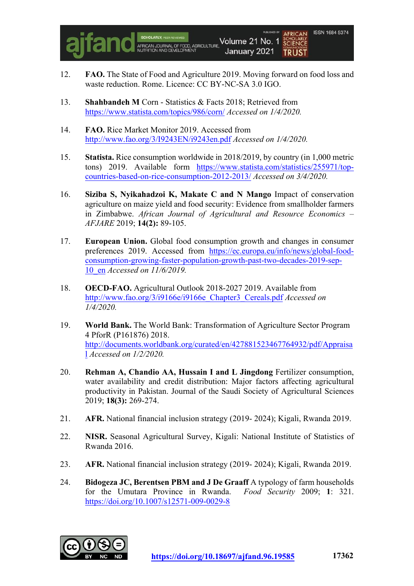

- 12. **FAO.** The State of Food and Agriculture 2019. Moving forward on food loss and waste reduction. Rome. Licence: CC BY-NC-SA 3.0 IGO.
- 13. **Shahbandeh M** Corn Statistics & Facts 2018; Retrieved from https://www.statista.com/topics/986/corn/ *Accessed on 1/4/2020.*
- 14. **FAO.** Rice Market Monitor 2019. Accessed from http://www.fao.org/3/I9243EN/i9243en.pdf *Accessed on 1/4/2020.*
- 15. **Statista.** Rice consumption worldwide in 2018/2019, by country (in 1,000 metric tons) 2019. Available form https://www.statista.com/statistics/255971/topcountries-based-on-rice-consumption-2012-2013/ *Accessed on 3/4/2020.*
- 16. **Siziba S, Nyikahadzoi K, Makate C and N Mango** Impact of conservation agriculture on maize yield and food security: Evidence from smallholder farmers in Zimbabwe. *African Journal of Agricultural and Resource Economics – AFJARE* 2019; **14(2):** 89-105.
- 17. **European Union.** Global food consumption growth and changes in consumer preferences 2019. Accessed from https://ec.europa.eu/info/news/global-foodconsumption-growing-faster-population-growth-past-two-decades-2019-sep-10\_en *Accessed on 11/6/2019.*
- 18. **OECD-FAO.** Agricultural Outlook 2018-2027 2019. Available from http://www.fao.org/3/i9166e/i9166e\_Chapter3\_Cereals.pdf *Accessed on 1/4/2020.*
- 19. **World Bank.** The World Bank: Transformation of Agriculture Sector Program 4 PforR (P161876) 2018. http://documents.worldbank.org/curated/en/427881523467764932/pdf/Appraisa l *Accessed on 1/2/2020.*
- 20. **Rehman A, Chandio AA, Hussain I and L Jingdong** Fertilizer consumption, water availability and credit distribution: Major factors affecting agricultural productivity in Pakistan. Journal of the Saudi Society of Agricultural Sciences 2019; **18(3):** 269-274.
- 21. **AFR.** National financial inclusion strategy (2019- 2024); Kigali, Rwanda 2019.
- 22. **NISR.** Seasonal Agricultural Survey, Kigali: National Institute of Statistics of Rwanda 2016.
- 23. **AFR.** National financial inclusion strategy (2019- 2024); Kigali, Rwanda 2019.
- 24. **Bidogeza JC, Berentsen PBM and J De Graaff** A typology of farm households for the Umutara Province in Rwanda. *Food Security* 2009; **1**: 321. https://doi.org/10.1007/s12571-009-0029-8

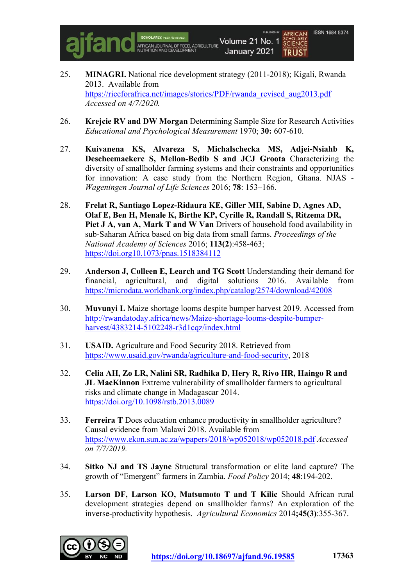

- 25. **MINAGRI.** National rice development strategy (2011-2018); Kigali, Rwanda 2013. Available from https://riceforafrica.net/images/stories/PDF/rwanda\_revised\_aug2013.pdf *Accessed on 4/7/2020.*
- 26. **Krejcie RV and DW Morgan** Determining Sample Size for Research Activities *Educational and Psychological Measurement* 1970; **30:** 607-610.
- 27. **Kuivanena KS, Alvareza S, Michalschecka MS, Adjei-Nsiahb K, Descheemaekerc S, Mellon-Bedib S and JCJ Groota** Characterizing the diversity of smallholder farming systems and their constraints and opportunities for innovation: A case study from the Northern Region, Ghana. NJAS - *Wageningen Journal of Life Sciences* 2016; **78**: 153–166.
- 28. **Frelat R, Santiago Lopez-Ridaura KE, Giller MH, Sabine D, Agnes AD, Olaf E, Ben H, Menale K, Birthe KP, Cyrille R, Randall S, Ritzema DR, Piet J A, van A, Mark T and W Van** Drivers of household food availability in sub-Saharan Africa based on big data from small farms. *Proceedings of the National Academy of Sciences* 2016; **113(2**):458-463; https://doi.org10.1073/pnas.1518384112
- 29. **Anderson J, Colleen E, Learch and TG Scott** Understanding their demand for financial, agricultural, and digital solutions 2016. Available from https://microdata.worldbank.org/index.php/catalog/2574/download/42008
- 30. **Muvunyi L** Maize shortage looms despite bumper harvest 2019. Accessed from http://rwandatoday.africa/news/Maize-shortage-looms-despite-bumperharvest/4383214-5102248-r3d1cqz/index.html
- 31. **USAID.** Agriculture and Food Security 2018. Retrieved from https://www.usaid.gov/rwanda/agriculture-and-food-security, 2018
- 32. **Celia AH, Zo LR, Nalini SR, Radhika D, Hery R, Rivo HR, Haingo R and JL MacKinnon** Extreme vulnerability of smallholder farmers to agricultural risks and climate change in Madagascar 2014. https://doi.org/10.1098/rstb.2013.0089
- 33. **Ferreira T** Does education enhance productivity in smallholder agriculture? Causal evidence from Malawi 2018. Available from https://www.ekon.sun.ac.za/wpapers/2018/wp052018/wp052018.pdf *Accessed on 7/7/2019.*
- 34. **Sitko NJ and TS Jayne** Structural transformation or elite land capture? The growth of "Emergent" farmers in Zambia. *Food Policy* 2014; **48**:194-202.
- 35. **Larson DF, Larson KO, Matsumoto T and T Kilic** Should African rural development strategies depend on smallholder farms? An exploration of the inverse-productivity hypothesis. *Agricultural Economics* 2014**;45(3)**:355-367.